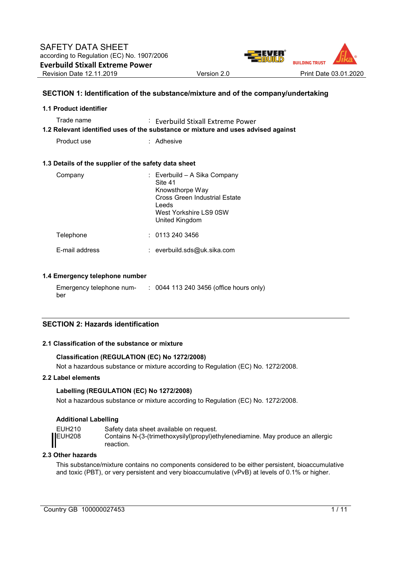

# **SECTION 1: Identification of the substance/mixture and of the company/undertaking**

| 1.1 Product identifier                               |                                                                                                                                                    |
|------------------------------------------------------|----------------------------------------------------------------------------------------------------------------------------------------------------|
| Trade name                                           | : Everbuild Stixall Extreme Power<br>1.2 Relevant identified uses of the substance or mixture and uses advised against                             |
| Product use                                          | : Adhesive                                                                                                                                         |
| 1.3 Details of the supplier of the safety data sheet |                                                                                                                                                    |
| Company                                              | : Everbuild $-$ A Sika Company<br>Site 41<br>Knowsthorpe Way<br>Cross Green Industrial Estate<br>Leeds<br>West Yorkshire LS9 0SW<br>United Kingdom |
| Telephone                                            | : 01132403456                                                                                                                                      |
| E-mail address                                       | $:$ everbuild.sds@uk.sika.com                                                                                                                      |

#### **1.4 Emergency telephone number**

Emergency telephone number : 0044 113 240 3456 (office hours only)

#### **SECTION 2: Hazards identification**

#### **2.1 Classification of the substance or mixture**

### **Classification (REGULATION (EC) No 1272/2008)**

Not a hazardous substance or mixture according to Regulation (EC) No. 1272/2008.

## **2.2 Label elements**

## **Labelling (REGULATION (EC) No 1272/2008)**

Not a hazardous substance or mixture according to Regulation (EC) No. 1272/2008.

#### **Additional Labelling**

| EUH210        | Safety data sheet available on request.                                        |
|---------------|--------------------------------------------------------------------------------|
| <b>EUH208</b> | Contains N-(3-(trimethoxysilyl)propyl)ethylenediamine. May produce an allergic |
|               | reaction.                                                                      |

#### **2.3 Other hazards**

This substance/mixture contains no components considered to be either persistent, bioaccumulative and toxic (PBT), or very persistent and very bioaccumulative (vPvB) at levels of 0.1% or higher.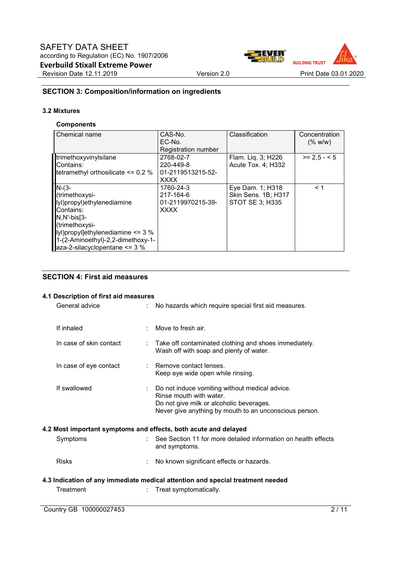

# **SECTION 3: Composition/information on ingredients**

#### **3.2 Mixtures**

### **Components**

| Chemical name                          | CAS-No.             | Classification         | Concentration |
|----------------------------------------|---------------------|------------------------|---------------|
|                                        | EC-No.              |                        | (% w/w)       |
|                                        | Registration number |                        |               |
| trimethoxyvinylsilane                  | 2768-02-7           | Flam. Liq. 3; H226     | $>= 2.5 - 5$  |
| Contains:                              | 220-449-8           | Acute Tox. 4: H332     |               |
| tetramethyl orthosilicate $\leq 0.2$ % | 01-2119513215-52-   |                        |               |
|                                        | <b>XXXX</b>         |                        |               |
| $N-(3-$                                | 1760-24-3           | Eye Dam. 1; H318       | < 1           |
| (trimethoxysi-                         | 217-164-6           | Skin Sens. 1B; H317    |               |
| lyl)propyl)ethylenediamine             | 01-2119970215-39-   | <b>STOT SE 3: H335</b> |               |
| Contains:                              | <b>XXXX</b>         |                        |               |
| $N, N'-bis[3-$                         |                     |                        |               |
| (trimethoxysi-                         |                     |                        |               |
| lyl)propyl]ethylenediamine $\leq$ 3 %  |                     |                        |               |
| 1-(2-Aminoethyl)-2,2-dimethoxy-1-      |                     |                        |               |
| aza-2-silacyclopentane $\leq$ 3 %      |                     |                        |               |

## **SECTION 4: First aid measures**

## **4.1 Description of first aid measures**

| General advice          | No hazards which require special first aid measures.                                                                                                                            |
|-------------------------|---------------------------------------------------------------------------------------------------------------------------------------------------------------------------------|
| If inhaled              | $\therefore$ Move to fresh air.                                                                                                                                                 |
| In case of skin contact | Take off contaminated clothing and shoes immediately.<br>Wash off with soap and plenty of water.                                                                                |
| In case of eye contact  | : Remove contact lenses.<br>Keep eye wide open while rinsing.                                                                                                                   |
| If swallowed            | Do not induce vomiting without medical advice.<br>Rinse mouth with water.<br>Do not give milk or alcoholic beverages.<br>Never give anything by mouth to an unconscious person. |
|                         | 4.2 Most important symptoms and effects, both acute and delayed                                                                                                                 |
| Symptoms                | See Section 11 for more detailed information on health effects<br>and symptoms.                                                                                                 |
| <b>Risks</b>            | No known significant effects or hazards.                                                                                                                                        |
|                         | 4.3 Indication of any immediate medical attention and special treatment needed                                                                                                  |
| Treatment               | Treat symptomatically.                                                                                                                                                          |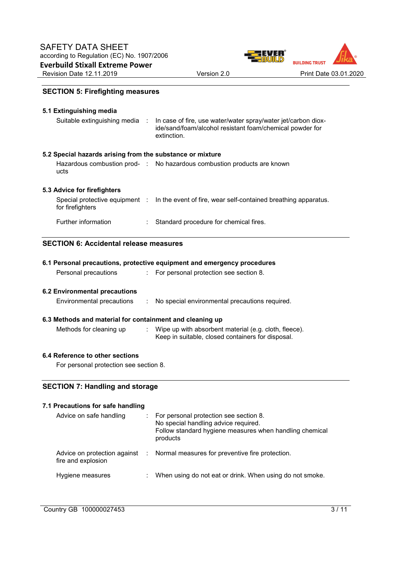ER **BUILDING TRUST** Revision Date 12.11.2019 Version 2.0 Print Date 03.01.2020

# **SECTION 5: Firefighting measures**

| 5.1 Extinguishing media<br>Suitable extinguishing media   | In case of fire, use water/water spray/water jet/carbon diox-<br>ide/sand/foam/alcohol resistant foam/chemical powder for<br>extinction. |
|-----------------------------------------------------------|------------------------------------------------------------------------------------------------------------------------------------------|
| 5.2 Special hazards arising from the substance or mixture |                                                                                                                                          |
| ucts                                                      | Hazardous combustion prod- : No hazardous combustion products are known                                                                  |
| 5.3 Advice for firefighters                               |                                                                                                                                          |
| for firefighters                                          | Special protective equipment : In the event of fire, wear self-contained breathing apparatus.                                            |
| Further information                                       | Standard procedure for chemical fires.                                                                                                   |
|                                                           |                                                                                                                                          |

# **SECTION 6: Accidental release measures**

|                                                          | 6.1 Personal precautions, protective equipment and emergency procedures                                    |
|----------------------------------------------------------|------------------------------------------------------------------------------------------------------------|
| Personal precautions                                     | : For personal protection see section 8.                                                                   |
| <b>6.2 Environmental precautions</b>                     |                                                                                                            |
| Environmental precautions                                | : No special environmental precautions required.                                                           |
| 6.3 Methods and material for containment and cleaning up |                                                                                                            |
| Methods for cleaning up                                  | Wipe up with absorbent material (e.g. cloth, fleece).<br>Keep in suitable, closed containers for disposal. |

# **6.4 Reference to other sections**

For personal protection see section 8.

# **SECTION 7: Handling and storage**

| 7.1 Precautions for safe handling<br>Advice on safe handling | : For personal protection see section 8.<br>No special handling advice required.<br>Follow standard hygiene measures when handling chemical<br>products |
|--------------------------------------------------------------|---------------------------------------------------------------------------------------------------------------------------------------------------------|
| fire and explosion                                           | Advice on protection against : Normal measures for preventive fire protection.                                                                          |
| Hygiene measures                                             | When using do not eat or drink. When using do not smoke.                                                                                                |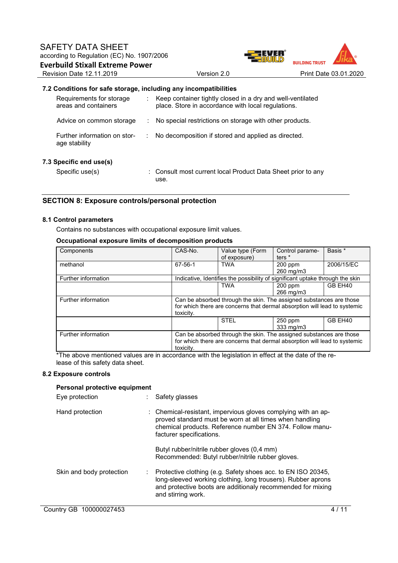

#### **7.2 Conditions for safe storage, including any incompatibilities**

| Requirements for storage<br>areas and containers | Keep container tightly closed in a dry and well-ventilated<br>place. Store in accordance with local regulations. |
|--------------------------------------------------|------------------------------------------------------------------------------------------------------------------|
| Advice on common storage                         | No special restrictions on storage with other products.                                                          |
| Further information on stor-<br>age stability    | No decomposition if stored and applied as directed.                                                              |
| 7.3 Specific end use(s)                          |                                                                                                                  |
| Specific use(s)                                  | : Consult most current local Product Data Sheet prior to any                                                     |

## **SECTION 8: Exposure controls/personal protection**

#### **8.1 Control parameters**

Contains no substances with occupational exposure limit values.

use.

### **Occupational exposure limits of decomposition products**

| Components          | CAS-No.                                                                                                                                                       | Value type (Form<br>of exposure)                                              | Control parame-<br>ters $*$ | Basis *    |
|---------------------|---------------------------------------------------------------------------------------------------------------------------------------------------------------|-------------------------------------------------------------------------------|-----------------------------|------------|
| methanol            | 67-56-1                                                                                                                                                       | <b>TWA</b>                                                                    | $200$ ppm<br>260 mg/m3      | 2006/15/EC |
| Further information |                                                                                                                                                               | Indicative, Identifies the possibility of significant uptake through the skin |                             |            |
|                     |                                                                                                                                                               | <b>TWA</b>                                                                    | $200$ ppm<br>266 mg/m3      | GB EH40    |
| Further information | Can be absorbed through the skin. The assigned substances are those<br>for which there are concerns that dermal absorption will lead to systemic<br>toxicity. |                                                                               |                             |            |
|                     |                                                                                                                                                               | <b>STEL</b>                                                                   | 250 ppm<br>333 mg/m3        | GB EH40    |
| Further information | Can be absorbed through the skin. The assigned substances are those<br>for which there are concerns that dermal absorption will lead to systemic<br>toxicity. |                                                                               |                             |            |

\*The above mentioned values are in accordance with the legislation in effect at the date of the release of this safety data sheet.

#### **8.2 Exposure controls**

| Personal protective equipment |                                                                                                                                                                                                                                                                                                                     |  |
|-------------------------------|---------------------------------------------------------------------------------------------------------------------------------------------------------------------------------------------------------------------------------------------------------------------------------------------------------------------|--|
| Eye protection                | Safety glasses                                                                                                                                                                                                                                                                                                      |  |
| Hand protection               | : Chemical-resistant, impervious gloves complying with an ap-<br>proved standard must be worn at all times when handling<br>chemical products. Reference number EN 374. Follow manu-<br>facturer specifications.<br>Butyl rubber/nitrile rubber gloves (0.4 mm)<br>Recommended: Butyl rubber/nitrile rubber gloves. |  |
| Skin and body protection      | $\therefore$ Protective clothing (e.g. Safety shoes acc. to EN ISO 20345,<br>long-sleeved working clothing, long trousers). Rubber aprons<br>and protective boots are additionaly recommended for mixing<br>and stirring work.                                                                                      |  |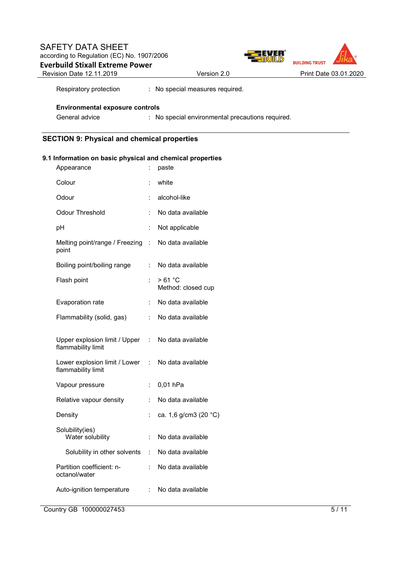# SAFETY DATA SHEET according to Regulation (EC) No. 1907/2006 **Everbuild Stixall Extreme Power**



Respiratory protection : No special measures required.

## **Environmental exposure controls**

General advice : No special environmental precautions required.

# **SECTION 9: Physical and chemical properties**

# **9.1 Information on basic physical and chemical properties**

|                                                             | paste                           |
|-------------------------------------------------------------|---------------------------------|
|                                                             | white                           |
|                                                             | alcohol-like                    |
|                                                             | No data available               |
| $\ddot{\cdot}$                                              | Not applicable                  |
| Melting point/range / Freezing<br>$\mathbb{R}^{\mathbb{Z}}$ | No data available               |
| İ                                                           | No data available               |
|                                                             | > 61 °C<br>Method: closed cup   |
| ÷.                                                          | No data available               |
|                                                             | No data available               |
| Upper explosion limit / Upper<br>÷.                         | No data available               |
| Lower explosion limit / Lower<br>$\mathbb{R}^{\mathbb{Z}}$  | No data available               |
| ÷                                                           | 0,01 hPa                        |
| ÷                                                           | No data available               |
|                                                             | ca. 1,6 g/cm3 (20 $^{\circ}$ C) |
| ÷                                                           | No data available               |
| Solubility in other solvents :                              | No data available               |
| $\ddot{\phantom{0}}$                                        | No data available               |
| ÷                                                           | No data available               |
|                                                             |                                 |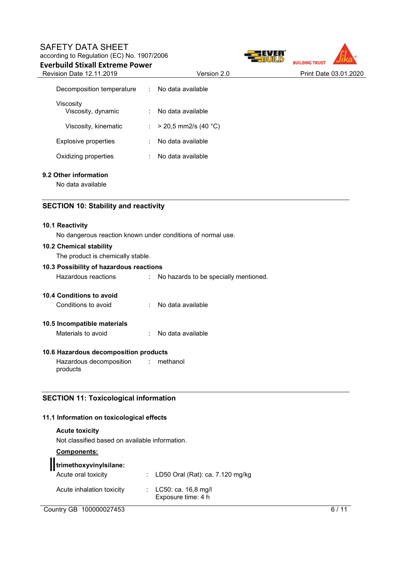# SAFETY DATA SHEET according to Regulation (EC) No. 1907/2006 **Everbuild Stixall Extreme Power**

**BUILDING TRUST** 

| <b>Revision Date 12.11.2019</b> | Version 2.0                  | Print Date 03.01.2020 |
|---------------------------------|------------------------------|-----------------------|
| Decomposition temperature       | No data available            |                       |
| Viscosity<br>Viscosity, dynamic | No data available            |                       |
| Viscosity, kinematic            | $>$ 20,5 mm2/s (40 °C)<br>÷. |                       |
| Explosive properties            | No data available            |                       |
| Oxidizing properties            | No data available            |                       |
|                                 |                              |                       |

# **9.2 Other information**

No data available

# **SECTION 10: Stability and reactivity**

#### **10.1 Reactivity**

No dangerous reaction known under conditions of normal use.

#### **10.2 Chemical stability**

The product is chemically stable.

# **10.3 Possibility of hazardous reactions**

Hazardous reactions : No hazards to be specially mentioned.

## **10.4 Conditions to avoid**

Conditions to avoid : No data available

## **10.5 Incompatible materials**

Materials to avoid : No data available

# **10.6 Hazardous decomposition products**

Hazardous decomposition products : methanol

# **SECTION 11: Toxicological information**

## **11.1 Information on toxicological effects**

**Acute toxicity**  Not classified based on available information.

# **Components:**

| trimethoxyvinylsilane:    |                                                |
|---------------------------|------------------------------------------------|
| Acute oral toxicity       | : LD50 Oral (Rat): ca. 7.120 mg/kg             |
| Acute inhalation toxicity | : $LC50: ca. 16, 8 mg/l$<br>Exposure time: 4 h |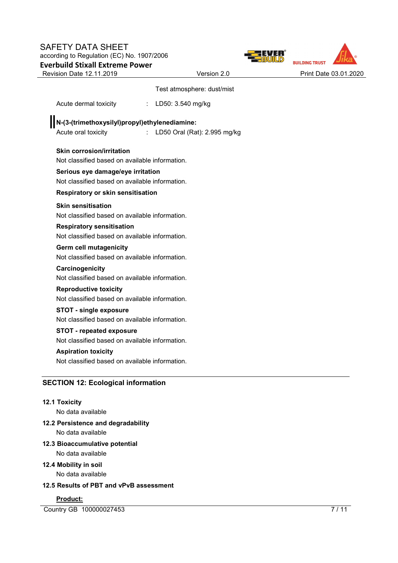

'ER

|                                                                              | Test atmosphere: dust/mist         |
|------------------------------------------------------------------------------|------------------------------------|
| Acute dermal toxicity                                                        | : LD50: 3.540 mg/kg                |
|                                                                              |                                    |
| N-(3-(trimethoxysilyl)propyl)ethylenediamine:<br>Acute oral toxicity         | LD50 Oral (Rat): 2.995 mg/kg<br>÷. |
|                                                                              |                                    |
| <b>Skin corrosion/irritation</b>                                             |                                    |
| Not classified based on available information.                               |                                    |
| Serious eye damage/eye irritation                                            |                                    |
| Not classified based on available information.                               |                                    |
| Respiratory or skin sensitisation                                            |                                    |
| <b>Skin sensitisation</b>                                                    |                                    |
| Not classified based on available information.                               |                                    |
| <b>Respiratory sensitisation</b>                                             |                                    |
| Not classified based on available information.                               |                                    |
| <b>Germ cell mutagenicity</b>                                                |                                    |
| Not classified based on available information.                               |                                    |
| Carcinogenicity                                                              |                                    |
| Not classified based on available information.                               |                                    |
| <b>Reproductive toxicity</b>                                                 |                                    |
| Not classified based on available information.                               |                                    |
| <b>STOT - single exposure</b>                                                |                                    |
| Not classified based on available information.                               |                                    |
| <b>STOT - repeated exposure</b>                                              |                                    |
| Not classified based on available information.                               |                                    |
| <b>Aspiration toxicity</b><br>Not classified based on available information. |                                    |
|                                                                              |                                    |

No data available

**12.2 Persistence and degradability** 

No data available

**12.3 Bioaccumulative potential**  No data available

# **12.4 Mobility in soil**

No data available

## **12.5 Results of PBT and vPvB assessment**

## **Product:**

Country GB 100000027453 7/11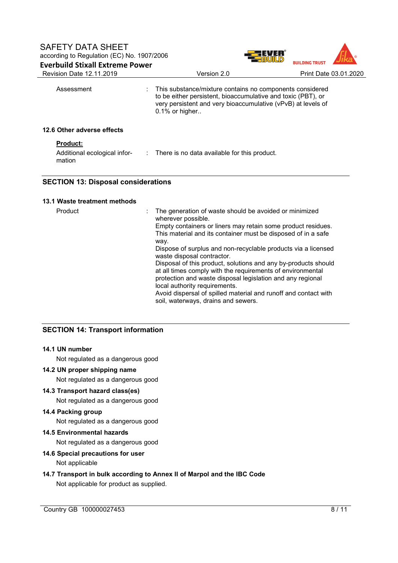

| Assessment                 | : This substance/mixture contains no components considered<br>to be either persistent, bioaccumulative and toxic (PBT), or<br>very persistent and very bioaccumulative (vPvB) at levels of<br>0.1% or higher |  |
|----------------------------|--------------------------------------------------------------------------------------------------------------------------------------------------------------------------------------------------------------|--|
| 12.6 Other adverse effects |                                                                                                                                                                                                              |  |
| Drod <sub>1</sub>          |                                                                                                                                                                                                              |  |

## **Product:**

| Additional ecological infor- | There is no data available for this product. |
|------------------------------|----------------------------------------------|
| mation                       |                                              |

# **SECTION 13: Disposal considerations**

## **13.1 Waste treatment methods**

| Product |
|---------|
|---------|

| Product | The generation of waste should be avoided or minimized<br>wherever possible.<br>Empty containers or liners may retain some product residues.<br>This material and its container must be disposed of in a safe               |
|---------|-----------------------------------------------------------------------------------------------------------------------------------------------------------------------------------------------------------------------------|
|         | way.<br>Dispose of surplus and non-recyclable products via a licensed                                                                                                                                                       |
|         | waste disposal contractor.                                                                                                                                                                                                  |
|         | Disposal of this product, solutions and any by-products should<br>at all times comply with the requirements of environmental<br>protection and waste disposal legislation and any regional<br>local authority requirements. |
|         | Avoid dispersal of spilled material and runoff and contact with<br>soil, waterways, drains and sewers.                                                                                                                      |

# **SECTION 14: Transport information**

#### **14.1 UN number**

Not regulated as a dangerous good

# **14.2 UN proper shipping name**

Not regulated as a dangerous good

# **14.3 Transport hazard class(es)**

Not regulated as a dangerous good

# **14.4 Packing group**

Not regulated as a dangerous good

# **14.5 Environmental hazards**

Not regulated as a dangerous good

# **14.6 Special precautions for user**

Not applicable

# **14.7 Transport in bulk according to Annex II of Marpol and the IBC Code**

Not applicable for product as supplied.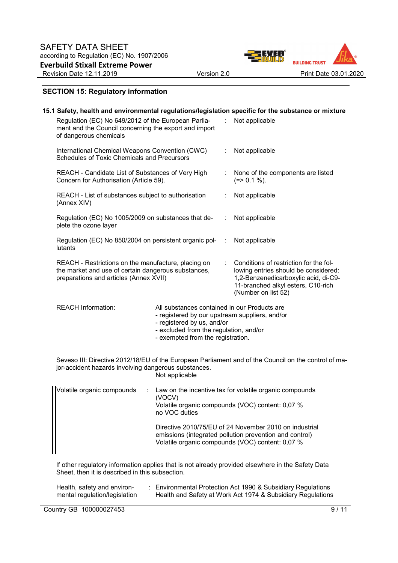

# **SECTION 15: Regulatory information**

|                                                                                                                                                                                |                                                                                                                                                                                                             |    | 15.1 Safety, health and environmental regulations/legislation specific for the substance or mixture                                                                                 |  |  |  |
|--------------------------------------------------------------------------------------------------------------------------------------------------------------------------------|-------------------------------------------------------------------------------------------------------------------------------------------------------------------------------------------------------------|----|-------------------------------------------------------------------------------------------------------------------------------------------------------------------------------------|--|--|--|
| Regulation (EC) No 649/2012 of the European Parlia-<br>ment and the Council concerning the export and import<br>of dangerous chemicals                                         |                                                                                                                                                                                                             |    | t.<br>Not applicable                                                                                                                                                                |  |  |  |
| International Chemical Weapons Convention (CWC)<br><b>Schedules of Toxic Chemicals and Precursors</b>                                                                          |                                                                                                                                                                                                             | ÷. | Not applicable                                                                                                                                                                      |  |  |  |
| REACH - Candidate List of Substances of Very High<br>Concern for Authorisation (Article 59).                                                                                   |                                                                                                                                                                                                             |    | None of the components are listed<br>$(=>0.1\%).$                                                                                                                                   |  |  |  |
| REACH - List of substances subject to authorisation<br>(Annex XIV)                                                                                                             |                                                                                                                                                                                                             |    | Not applicable                                                                                                                                                                      |  |  |  |
| Regulation (EC) No 1005/2009 on substances that de-<br>plete the ozone layer                                                                                                   |                                                                                                                                                                                                             |    | Not applicable                                                                                                                                                                      |  |  |  |
| Regulation (EC) No 850/2004 on persistent organic pol-<br>lutants                                                                                                              |                                                                                                                                                                                                             |    | Not applicable                                                                                                                                                                      |  |  |  |
| REACH - Restrictions on the manufacture, placing on<br>the market and use of certain dangerous substances,<br>preparations and articles (Annex XVII)                           |                                                                                                                                                                                                             |    | Conditions of restriction for the fol-<br>lowing entries should be considered:<br>1,2-Benzenedicarboxylic acid, di-C9-<br>11-branched alkyl esters, C10-rich<br>(Number on list 52) |  |  |  |
| <b>REACH Information:</b>                                                                                                                                                      | All substances contained in our Products are<br>- registered by our upstream suppliers, and/or<br>- registered by us, and/or<br>- excluded from the regulation, and/or<br>- exempted from the registration. |    |                                                                                                                                                                                     |  |  |  |
| Seveso III: Directive 2012/18/EU of the European Parliament and of the Council on the control of ma-<br>jor-accident hazards involving dangerous substances.<br>Not applicable |                                                                                                                                                                                                             |    |                                                                                                                                                                                     |  |  |  |
| Volatile organic compounds                                                                                                                                                     | (VOCV)<br>no VOC duties                                                                                                                                                                                     |    | Law on the incentive tax for volatile organic compounds<br>Volatile organic compounds (VOC) content: 0,07 %                                                                         |  |  |  |
|                                                                                                                                                                                |                                                                                                                                                                                                             |    | Directive 2010/75/EU of 24 November 2010 on industrial<br>emissions (integrated pollution prevention and control)<br>Volatile organic compounds (VOC) content: 0,07 %               |  |  |  |
|                                                                                                                                                                                |                                                                                                                                                                                                             |    | If other regulatory information applies that is not already provided elsewhere in the Safety Data                                                                                   |  |  |  |

| Health, safety and environ-   | : Environmental Protection Act 1990 & Subsidiary Regulations |
|-------------------------------|--------------------------------------------------------------|
| mental regulation/legislation | Health and Safety at Work Act 1974 & Subsidiary Regulations  |

Sheet, then it is described in this subsection.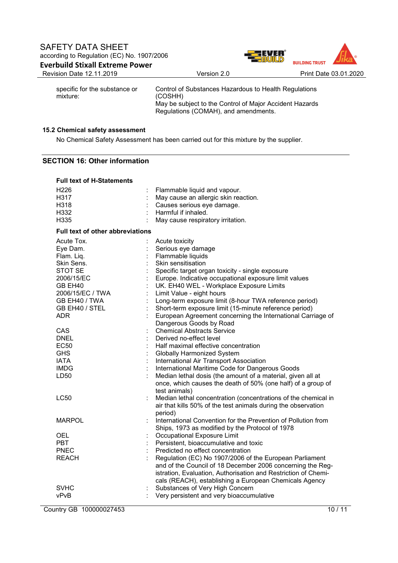

specific for the substance or mixture:

Control of Substances Hazardous to Health Regulations (COSHH) May be subject to the Control of Major Accident Hazards Regulations (COMAH), and amendments.

# **15.2 Chemical safety assessment**

No Chemical Safety Assessment has been carried out for this mixture by the supplier.

## **SECTION 16: Other information**

| <b>Full text of H-Statements</b> |                                                                      |
|----------------------------------|----------------------------------------------------------------------|
| H <sub>226</sub><br>H317         | Flammable liquid and vapour.<br>May cause an allergic skin reaction. |
| H318                             | Causes serious eye damage.                                           |
| H332                             | Harmful if inhaled.                                                  |
| H335                             | May cause respiratory irritation.                                    |
| Full text of other abbreviations |                                                                      |
| Acute Tox.                       | Acute toxicity                                                       |
| Eye Dam.                         | Serious eye damage                                                   |
| Flam. Liq.                       | Flammable liquids                                                    |
| Skin Sens.                       | Skin sensitisation                                                   |
| <b>STOT SE</b>                   | Specific target organ toxicity - single exposure                     |
| 2006/15/EC                       | Europe. Indicative occupational exposure limit values                |
| GB EH40                          | UK. EH40 WEL - Workplace Exposure Limits                             |
| 2006/15/EC / TWA                 | Limit Value - eight hours                                            |
| GB EH40 / TWA                    | Long-term exposure limit (8-hour TWA reference period)               |
| GB EH40 / STEL                   | Short-term exposure limit (15-minute reference period)               |
| ADR.                             | European Agreement concerning the International Carriage of          |
|                                  | Dangerous Goods by Road                                              |
| CAS                              | <b>Chemical Abstracts Service</b>                                    |
| DNEL                             | Derived no-effect level                                              |
| <b>EC50</b>                      | Half maximal effective concentration                                 |
| <b>GHS</b>                       | <b>Globally Harmonized System</b>                                    |
| <b>IATA</b>                      | International Air Transport Association                              |
| <b>IMDG</b>                      | International Maritime Code for Dangerous Goods                      |
| LD50                             | Median lethal dosis (the amount of a material, given all at          |
|                                  | once, which causes the death of 50% (one half) of a group of         |
|                                  | test animals)                                                        |
| <b>LC50</b>                      | Median lethal concentration (concentrations of the chemical in       |
|                                  | air that kills 50% of the test animals during the observation        |
|                                  | period)                                                              |
| <b>MARPOL</b>                    | International Convention for the Prevention of Pollution from        |
|                                  | Ships, 1973 as modified by the Protocol of 1978                      |
| OEL                              | Occupational Exposure Limit                                          |
| <b>PBT</b>                       | Persistent, bioaccumulative and toxic                                |
| <b>PNEC</b>                      | Predicted no effect concentration                                    |
| <b>REACH</b>                     | Regulation (EC) No 1907/2006 of the European Parliament              |
|                                  | and of the Council of 18 December 2006 concerning the Reg-           |
|                                  | istration, Evaluation, Authorisation and Restriction of Chemi-       |
|                                  | cals (REACH), establishing a European Chemicals Agency               |
| SVHC                             | Substances of Very High Concern                                      |
| vPvB                             | Very persistent and very bioaccumulative                             |

Country GB 100000027453 10 / 11